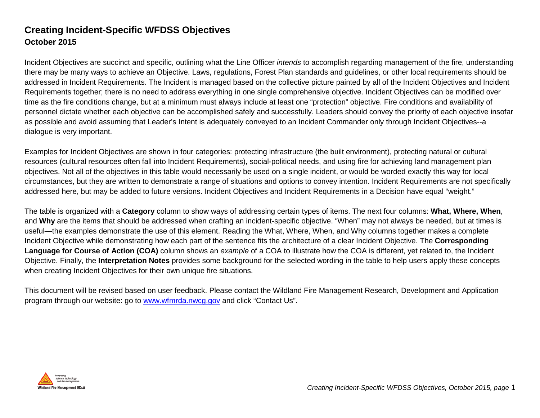## **Creating Incident-Specific WFDSS Objectives October 2015**

Incident Objectives are succinct and specific, outlining what the Line Officer *intends* to accomplish regarding management of the fire, understanding there may be many ways to achieve an Objective. Laws, regulations, Forest Plan standards and guidelines, or other local requirements should be addressed in Incident Requirements. The Incident is managed based on the collective picture painted by all of the Incident Objectives and Incident Requirements together; there is no need to address everything in one single comprehensive objective. Incident Objectives can be modified over time as the fire conditions change, but at a minimum must always include at least one "protection" objective. Fire conditions and availability of personnel dictate whether each objective can be accomplished safely and successfully. Leaders should convey the priority of each objective insofar as possible and avoid assuming that Leader's Intent is adequately conveyed to an Incident Commander only through Incident Objectives--a dialogue is very important.

Examples for Incident Objectives are shown in four categories: protecting infrastructure (the built environment), protecting natural or cultural resources (cultural resources often fall into Incident Requirements), social-political needs, and using fire for achieving land management plan objectives. Not all of the objectives in this table would necessarily be used on a single incident, or would be worded exactly this way for local circumstances, but they are written to demonstrate a range of situations and options to convey intention. Incident Requirements are not specifically addressed here, but may be added to future versions. Incident Objectives and Incident Requirements in a Decision have equal "weight."

The table is organized with a **Category** column to show ways of addressing certain types of items. The next four columns: **What, Where, When**, and **Why** are the items that should be addressed when crafting an incident-specific objective. "When" may not always be needed, but at times is useful—the examples demonstrate the use of this element. Reading the What, Where, When, and Why columns together makes a complete Incident Objective while demonstrating how each part of the sentence fits the architecture of a clear Incident Objective. The **Corresponding Language for Course of Action (COA)** column shows an *example* of a COA to illustrate how the COA is different, yet related to, the Incident Objective. Finally, the **Interpretation Notes** provides some background for the selected wording in the table to help users apply these concepts when creating Incident Objectives for their own unique fire situations.

This document will be revised based on user feedback. Please contact the Wildland Fire Management Research, Development and Application program through our website: go to [www.wfmrda.nwcg.gov](http://www.wfmrda.nwcg.gov/) and click "Contact Us".

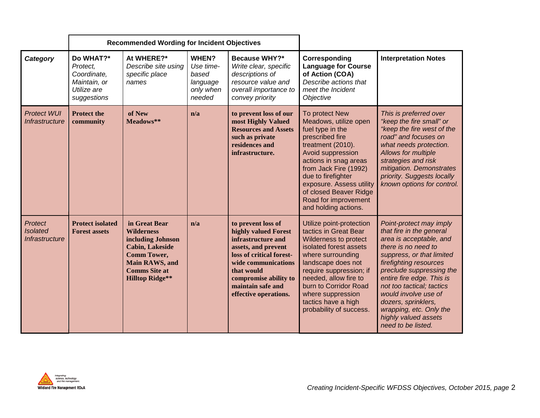|                                                            |                                                                                    | <b>Recommended Wording for Incident Objectives</b>                                                                                                                          |                                                                |                                                                                                                                                                                                                                 |                                                                                                                                                                                                                                                                                                        |                                                                                                                                                                                                                                                                                                                                                                            |
|------------------------------------------------------------|------------------------------------------------------------------------------------|-----------------------------------------------------------------------------------------------------------------------------------------------------------------------------|----------------------------------------------------------------|---------------------------------------------------------------------------------------------------------------------------------------------------------------------------------------------------------------------------------|--------------------------------------------------------------------------------------------------------------------------------------------------------------------------------------------------------------------------------------------------------------------------------------------------------|----------------------------------------------------------------------------------------------------------------------------------------------------------------------------------------------------------------------------------------------------------------------------------------------------------------------------------------------------------------------------|
| Category                                                   | Do WHAT?*<br>Protect,<br>Coordinate,<br>Maintain, or<br>Utilize are<br>suggestions | At WHERE?*<br>Describe site using<br>specific place<br>names                                                                                                                | WHEN?<br>Use time-<br>based<br>language<br>only when<br>needed | <b>Because WHY?*</b><br>Write clear, specific<br>descriptions of<br>resource value and<br>overall importance to<br>convey priority                                                                                              | Corresponding<br><b>Language for Course</b><br>of Action (COA)<br>Describe actions that<br>meet the Incident<br>Objective                                                                                                                                                                              | <b>Interpretation Notes</b>                                                                                                                                                                                                                                                                                                                                                |
| <b>Protect WUI</b><br>Infrastructure                       | <b>Protect the</b><br>community                                                    | of New<br>Meadows**                                                                                                                                                         | n/a                                                            | to prevent loss of our<br>most Highly Valued<br><b>Resources and Assets</b><br>such as private<br>residences and<br>infrastructure.                                                                                             | To protect New<br>Meadows, utilize open<br>fuel type in the<br>prescribed fire<br>treatment (2010).<br>Avoid suppression<br>actions in snag areas<br>from Jack Fire (1992)<br>due to firefighter<br>exposure. Assess utility<br>of closed Beaver Ridge<br>Road for improvement<br>and holding actions. | This is preferred over<br>"keep the fire small" or<br>"keep the fire west of the<br>road" and focuses on<br>what needs protection.<br>Allows for multiple<br>strategies and risk<br>mitigation. Demonstrates<br>priority. Suggests locally<br>known options for control.                                                                                                   |
| <b>Protect</b><br><b>Isolated</b><br><b>Infrastructure</b> | <b>Protect isolated</b><br><b>Forest assets</b>                                    | in Great Bear<br><b>Wilderness</b><br>including Johnson<br><b>Cabin, Lakeside</b><br><b>Comm Tower,</b><br>Main RAWS, and<br><b>Comms</b> Site at<br><b>Hilltop Ridge**</b> | n/a                                                            | to prevent loss of<br>highly valued Forest<br>infrastructure and<br>assets, and prevent<br>loss of critical forest-<br>wide communications<br>that would<br>compromise ability to<br>maintain safe and<br>effective operations. | Utilize point-protection<br>tactics in Great Bear<br>Wilderness to protect<br>isolated forest assets<br>where surrounding<br>landscape does not<br>require suppression; if<br>needed, allow fire to<br>burn to Corridor Road<br>where suppression<br>tactics have a high<br>probability of success.    | Point-protect may imply<br>that fire in the general<br>area is acceptable, and<br>there is no need to<br>suppress, or that limited<br>firefighting resources<br>preclude suppressing the<br>entire fire edge. This is<br>not too tactical; tactics<br>would involve use of<br>dozers, sprinklers,<br>wrapping, etc. Only the<br>highly valued assets<br>need to be listed. |

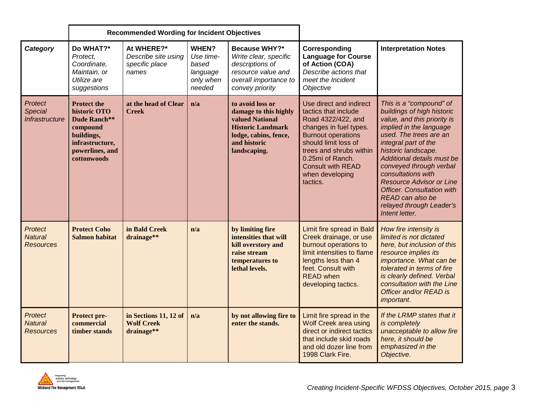|                                                      | <b>Recommended Wording for Incident Objectives</b>                                                                                       |                                                              |                                                                |                                                                                                                                                   |                                                                                                                                                                                                                                                                |                                                                                                                                                                                                                                                                                                                                                                                                                   |
|------------------------------------------------------|------------------------------------------------------------------------------------------------------------------------------------------|--------------------------------------------------------------|----------------------------------------------------------------|---------------------------------------------------------------------------------------------------------------------------------------------------|----------------------------------------------------------------------------------------------------------------------------------------------------------------------------------------------------------------------------------------------------------------|-------------------------------------------------------------------------------------------------------------------------------------------------------------------------------------------------------------------------------------------------------------------------------------------------------------------------------------------------------------------------------------------------------------------|
| Category                                             | Do WHAT?*<br>Protect.<br>Coordinate.<br>Maintain, or<br>Utilize are<br>suggestions                                                       | At WHERE?*<br>Describe site using<br>specific place<br>names | WHEN?<br>Use time-<br>based<br>language<br>only when<br>needed | Because WHY?*<br>Write clear, specific<br>descriptions of<br>resource value and<br>overall importance to<br>convey priority                       | Corresponding<br><b>Language for Course</b><br>of Action (COA)<br>Describe actions that<br>meet the Incident<br>Objective                                                                                                                                      | <b>Interpretation Notes</b>                                                                                                                                                                                                                                                                                                                                                                                       |
| <b>Protect</b><br><b>Special</b><br>Infrastructure   | <b>Protect the</b><br>historic OTO<br><b>Dude Ranch**</b><br>compound<br>buildings,<br>infrastructure,<br>powerlines, and<br>cottonwoods | at the head of Clear<br><b>Creek</b>                         | n/a                                                            | to avoid loss or<br>damage to this highly<br>valued National<br><b>Historic Landmark</b><br>lodge, cabins, fence,<br>and historic<br>landscaping. | Use direct and indirect<br>tactics that include<br>Road 4322/422, and<br>changes in fuel types.<br><b>Burnout operations</b><br>should limit loss of<br>trees and shrubs within<br>0.25mi of Ranch.<br><b>Consult with READ</b><br>when developing<br>tactics. | This is a "compound" of<br>buildings of high historic<br>value, and this priority is<br>implied in the language<br>used. The trees are an<br>integral part of the<br>historic landscape.<br>Additional details must be<br>conveyed through verbal<br>consultations with<br><b>Resource Advisor or Line</b><br><b>Officer.</b> Consultation with<br>READ can also be<br>relayed through Leader's<br>Intent letter. |
| <b>Protect</b><br><b>Natural</b><br><b>Resources</b> | <b>Protect Coho</b><br><b>Salmon habitat</b>                                                                                             | in Bald Creek<br>drainage**                                  | n/a                                                            | by limiting fire<br>intensities that will<br>kill overstory and<br>raise stream<br>temperatures to<br>lethal levels.                              | Limit fire spread in Bald<br>Creek drainage, or use<br>burnout operations to<br>limit intensities to flame<br>lengths less than 4<br>feet. Consult with<br><b>READ</b> when<br>developing tactics.                                                             | How fire intensity is<br>limited is not dictated<br>here, but inclusion of this<br>resource implies its<br>importance. What can be<br>tolerated in terms of fire<br>is clearly defined. Verbal<br>consultation with the Line<br>Officer and/or READ is<br>important.                                                                                                                                              |
| <b>Protect</b><br><b>Natural</b><br><b>Resources</b> | Protect pre-<br>commercial<br>timber stands                                                                                              | in Sections 11, 12 of<br><b>Wolf Creek</b><br>drainage**     | n/a                                                            | by not allowing fire to<br>enter the stands.                                                                                                      | Limit fire spread in the<br><b>Wolf Creek area using</b><br>direct or indirect tactics<br>that include skid roads<br>and old dozer line from<br>1998 Clark Fire.                                                                                               | If the LRMP states that it<br>is completely<br>unacceptable to allow fire<br>here, it should be<br>emphasized in the<br>Objective.                                                                                                                                                                                                                                                                                |

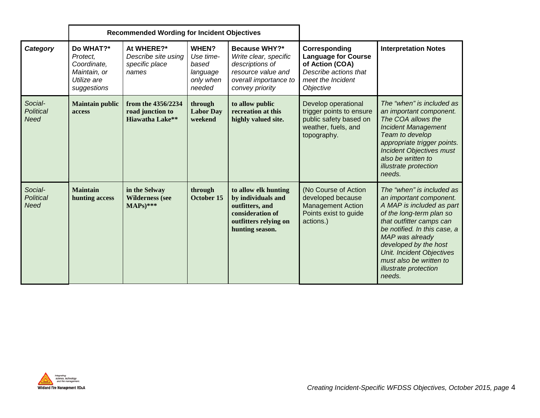|                                            | <b>Recommended Wording for Incident Objectives</b>                                 |                                                                  |                                                                |                                                                                                                               |                                                                                                                           |                                                                                                                                                                                                                                                                                                                                |
|--------------------------------------------|------------------------------------------------------------------------------------|------------------------------------------------------------------|----------------------------------------------------------------|-------------------------------------------------------------------------------------------------------------------------------|---------------------------------------------------------------------------------------------------------------------------|--------------------------------------------------------------------------------------------------------------------------------------------------------------------------------------------------------------------------------------------------------------------------------------------------------------------------------|
| Category                                   | Do WHAT?*<br>Protect.<br>Coordinate,<br>Maintain, or<br>Utilize are<br>suggestions | At WHERE?*<br>Describe site using<br>specific place<br>names     | WHEN?<br>Use time-<br>based<br>language<br>only when<br>needed | Because WHY?*<br>Write clear, specific<br>descriptions of<br>resource value and<br>overall importance to<br>convey priority   | Corresponding<br><b>Language for Course</b><br>of Action (COA)<br>Describe actions that<br>meet the Incident<br>Objective | <b>Interpretation Notes</b>                                                                                                                                                                                                                                                                                                    |
| Social-<br><b>Political</b><br><b>Need</b> | <b>Maintain public</b><br>access                                                   | from the 4356/2234<br>road junction to<br><b>Hiawatha Lake**</b> | through<br><b>Labor Day</b><br>weekend                         | to allow public<br>recreation at this<br>highly valued site.                                                                  | Develop operational<br>trigger points to ensure<br>public safety based on<br>weather, fuels, and<br>topography.           | The "when" is included as<br>an important component.<br>The COA allows the<br><b>Incident Management</b><br>Team to develop<br>appropriate trigger points.<br><b>Incident Objectives must</b><br>also be written to<br>illustrate protection<br>needs.                                                                         |
| Social-<br><b>Political</b><br><b>Need</b> | <b>Maintain</b><br>hunting access                                                  | in the Selway<br><b>Wilderness</b> (see<br>$MAPs)$ ***           | through<br>October 15                                          | to allow elk hunting<br>by individuals and<br>outfitters, and<br>consideration of<br>outfitters relying on<br>hunting season. | (No Course of Action<br>developed because<br><b>Management Action</b><br>Points exist to guide<br>actions.)               | The "when" is included as<br>an important component.<br>A MAP is included as part<br>of the long-term plan so<br>that outfitter camps can<br>be notified. In this case, a<br>MAP was already<br>developed by the host<br><b>Unit. Incident Objectives</b><br>must also be written to<br><i>illustrate protection</i><br>needs. |